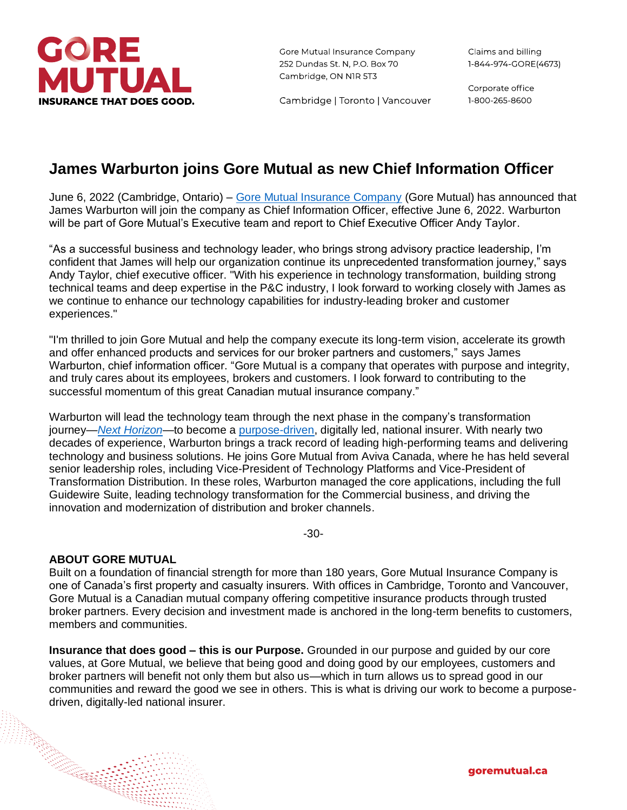

Gore Mutual Insurance Company 252 Dundas St. N, P.O. Box 70 Cambridge, ON NIR 5T3

Cambridge | Toronto | Vancouver

Corporate office 1-800-265-8600

## **James Warburton joins Gore Mutual as new Chief Information Officer**

June 6, 2022 (Cambridge, Ontario) – [Gore Mutual Insurance Company](http://www.goremutual.ca/) (Gore Mutual) has announced that James Warburton will join the company as Chief Information Officer, effective June 6, 2022. Warburton will be part of Gore Mutual's Executive team and report to Chief Executive Officer Andy Taylor.

"As a successful business and technology leader, who brings strong advisory practice leadership, I'm confident that James will help our organization continue its unprecedented transformation journey," says Andy Taylor, chief executive officer. "With his experience in technology transformation, building strong technical teams and deep expertise in the P&C industry, I look forward to working closely with James as we continue to enhance our technology capabilities for industry-leading broker and customer experiences."

"I'm thrilled to join Gore Mutual and help the company execute its long-term vision, accelerate its growth and offer enhanced products and services for our broker partners and customers," says James Warburton, chief information officer. "Gore Mutual is a company that operates with purpose and integrity, and truly cares about its employees, brokers and customers. I look forward to contributing to the successful momentum of this great Canadian mutual insurance company."

Warburton will lead the technology team through the next phase in the company's transformation journey—*[Next Horizon](https://www.goremutual.ca/nexthorizon/)*—to become a [purpose-driven,](https://www.goremutual.ca/purpose/) digitally led, national insurer. With nearly two decades of experience, Warburton brings a track record of leading high-performing teams and delivering technology and business solutions. He joins Gore Mutual from Aviva Canada, where he has held several senior leadership roles, including Vice-President of Technology Platforms and Vice-President of Transformation Distribution. In these roles, Warburton managed the core applications, including the full Guidewire Suite, leading technology transformation for the Commercial business, and driving the innovation and modernization of distribution and broker channels.

-30-

## **ABOUT GORE MUTUAL**

Built on a foundation of financial strength for more than 180 years, Gore Mutual Insurance Company is one of Canada's first property and casualty insurers. With offices in Cambridge, Toronto and Vancouver, Gore Mutual is a Canadian mutual company offering competitive insurance products through trusted broker partners. Every decision and investment made is anchored in the long-term benefits to customers, members and communities.

**Insurance that does good – this is our Purpose.** Grounded in our purpose and guided by our core values, at Gore Mutual, we believe that being good and doing good by our employees, customers and broker partners will benefit not only them but also us—which in turn allows us to spread good in our communities and reward the good we see in others. This is what is driving our work to become a purposedriven, digitally-led national insurer.